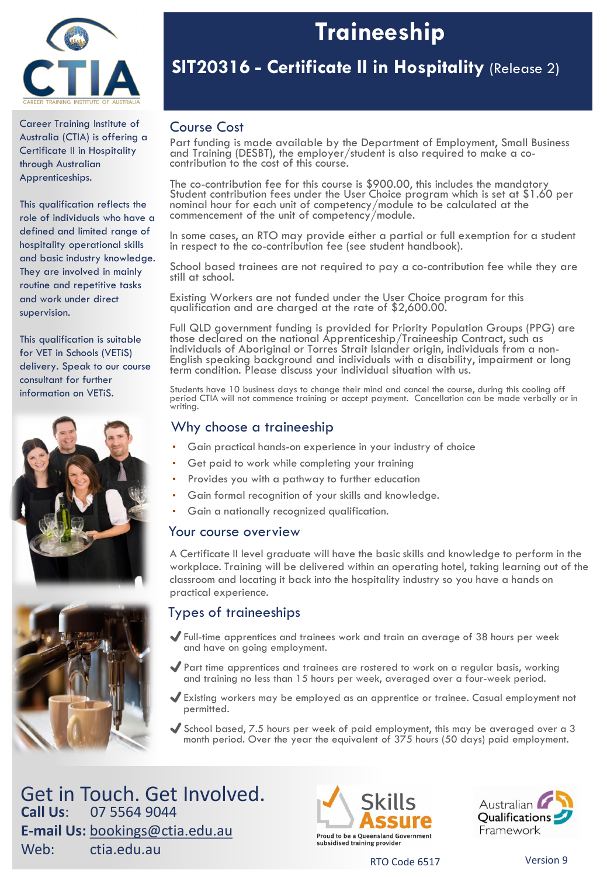

Career Training Institute of Australia (CTIA) is offering a Certificate II in Hospitality through Australian Apprenticeships.

This qualification reflects the role of individuals who have a defined and limited range of hospitality operational skills and basic industry knowledge. They are involved in mainly routine and repetitive tasks and work under direct supervision.

This qualification is suitable for VET in Schools (VETiS) delivery. Speak to our course consultant for further information on VETiS.





# **Traineeship**

## **SIT20316 - Certificate II in Hospitality** (Release 2)

## Course Cost

Part funding is made available by the Department of Employment, Small Business and Training (DESBT), the employer/student is also required to make a co- contribution to the cost of this course.

The co-contribution fee for this course is \$900.00, this includes the mandatory Student contribution fees under the User Choice program which is set at \$1.60 per nominal hour for each unit of competency/module to be calculated at the commencement of the unit of competency/module.

In some cases, an RTO may provide either a partial or full exemption for a student in respect to the co-contribution fee (see student handbook).

School based trainees are not required to pay a co-contribution fee while they are still at school.

Existing Workers are not funded under the User Choice program for this qualification and are charged at the rate of \$2,600.00.

Full QLD government funding is provided for Priority Population Groups (PPG) are those declared on the national Apprenticeship/Traineeship Contract, such as individuals of Aboriginal or Torres Strait Islander origin, individuals from a non- English speaking background and individuals with a disability, impairment or long English speaking background and individuals with a disability, impairment or long<br>term condition. Please discuss your individual situation with us.

Students have 10 business days to change their mind and cancel the course, during this cooling off period CTIA will not commence training or accept payment. Cancellation can be made verbally or in writing.

### Why choose a traineeship

- Gain practical hands-on experience in your industry of choice
- Get paid to work while completing your training
- Provides you with a pathway to further education
- Gain formal recognition of your skills and knowledge.
- Gain a nationally recognized qualification.

### Your course overview

A Certificate II level graduate will have the basic skills and knowledge to perform in the workplace. Training will be delivered within an operating hotel, taking learning out of the classroom and locating it back into the hospitality industry so you have a hands on practical experience.

## Types of traineeships

- ✔Full-time apprentices and trainees work and train an average of 38 hours per week and have on going employment.
- ✔Part time apprentices and trainees are rostered to work on a regular basis, working and training no less than 15 hours per week, averaged over a four-week period.
- ✔Existing workers may be employed as an apprentice or trainee. Casual employment not permitted.
- ✔School based, 7.5 hours per week of paid employment, this may be averaged over a 3 month period. Over the year the equivalent of 375 hours (50 days) paid employment.

Get in Touch. Get Involved. **Call Us**: 07 5564 9044 **E-mail Us:** [bookings@ctia.edu.au](mailto:bookings@ctia.edu.au) Web: ctia.edu.au





RTO Code 6517 Version 9